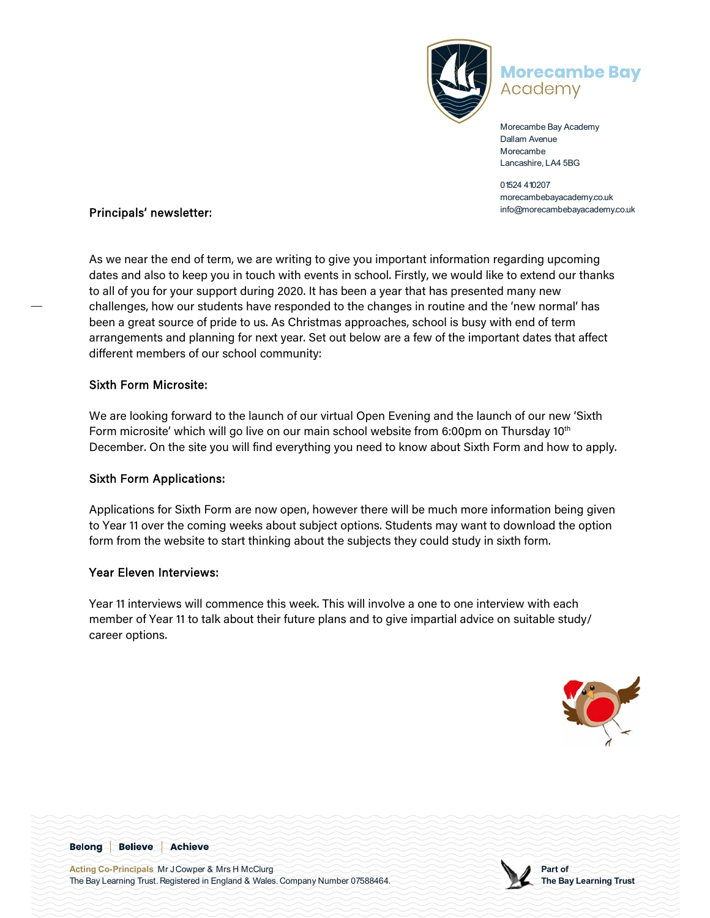

## **Morecambe Bay** Academy

Morecambe Bay Academy Dallam Avenue Morecambe Lancashire, LA4 5BG

01524 410207 morecambebayacademy.co.uk

## info@morecambebayacademy.co.uk Principals' newsletter:

As we near the end of term, we are writing to give you important information regarding upcoming dates and also to keep you in touch with events in school. Firstly, we would like to extend our thanks to all of you for your support during 2020. It has been a year that has presented many new challenges, how our students have responded to the changes in routine and the 'new normal' has been a great source of pride to us. As Christmas approaches, school is busy with end of term arrangements and planning for next year. Set out below are a few of the important dates that affect different members of our school community:

#### Sixth Form Microsite:

We are looking forward to the launch of our virtual Open Evening and the launch of our new 'Sixth Form microsite' which will go live on our main school website from 6:00pm on Thursday 10<sup>th</sup> December. On the site you will find everything you need to know about Sixth Form and how to apply.

### Sixth Form Applications:

Applications for Sixth Form are now open, however there will be much more information being given to Year 11 over the coming weeks about subject options. Students may want to download the option form from the website to start thinking about the subjects they could study in sixth form.

#### Year Eleven Interviews:

Year 11 interviews will commence this week. This will involve a one to one interview with each member of Year 11 to talk about their future plans and to give impartial advice on suitable study/ career options.



**Belong Believe Achieve** 

**Acting Co-Principals** Mr J Cowper & Mrs H McClurg The Bay Learning Trust. Registered in England & Wales. Company Number 07588464.

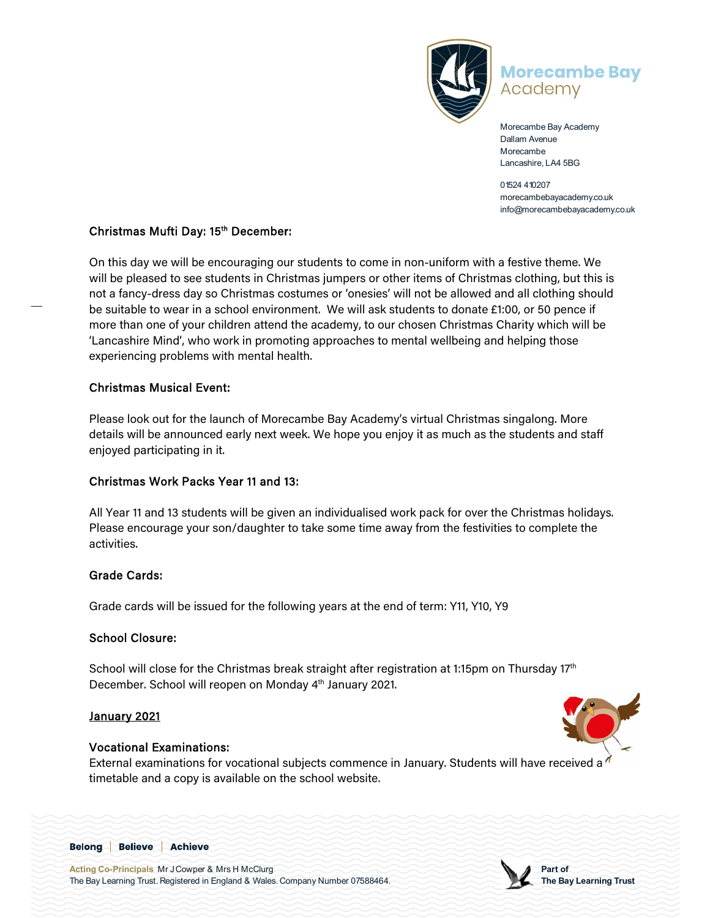

# **Morecambe Bay** Academy

Morecambe Bay Academy Dallam Avenue Morecambe Lancashire, LA4 5BG

01524 410207 morecambebayacademy.co.uk info@morecambebayacademy.co.uk

#### Christmas Mufti Day: 15<sup>th</sup> December:

On this day we will be encouraging our students to come in non-uniform with a festive theme. We will be pleased to see students in Christmas jumpers or other items of Christmas clothing, but this is not a fancy-dress day so Christmas costumes or 'onesies' will not be allowed and all clothing should be suitable to wear in a school environment. We will ask students to donate £1:00, or 50 pence if more than one of your children attend the academy, to our chosen Christmas Charity which will be 'Lancashire Mind', who work in promoting approaches to mental wellbeing and helping those experiencing problems with mental health.

#### Christmas Musical Event:

Please look out for the launch of Morecambe Bay Academy's virtual Christmas singalong. More details will be announced early next week. We hope you enjoy it as much as the students and staff enjoyed participating in it.

### Christmas Work Packs Year 11 and 13:

All Year 11 and 13 students will be given an individualised work pack for over the Christmas holidays. Please encourage your son/daughter to take some time away from the festivities to complete the activities.

#### Grade Cards:

Grade cards will be issued for the following years at the end of term: Y11, Y10, Y9

#### School Closure:

School will close for the Christmas break straight after registration at 1:15pm on Thursday  $17<sup>th</sup>$ December. School will reopen on Monday 4<sup>th</sup> January 2021.

### January 2021

#### Vocational Examinations:

External examinations for vocational subjects commence in January. Students will have received a <sup>d</sup> timetable and a copy is available on the school website.



**Acting Co-Principals** Mr J Cowper & Mrs H McClurg The Bay Learning Trust. Registered in England & Wales. Company Number 07588464.